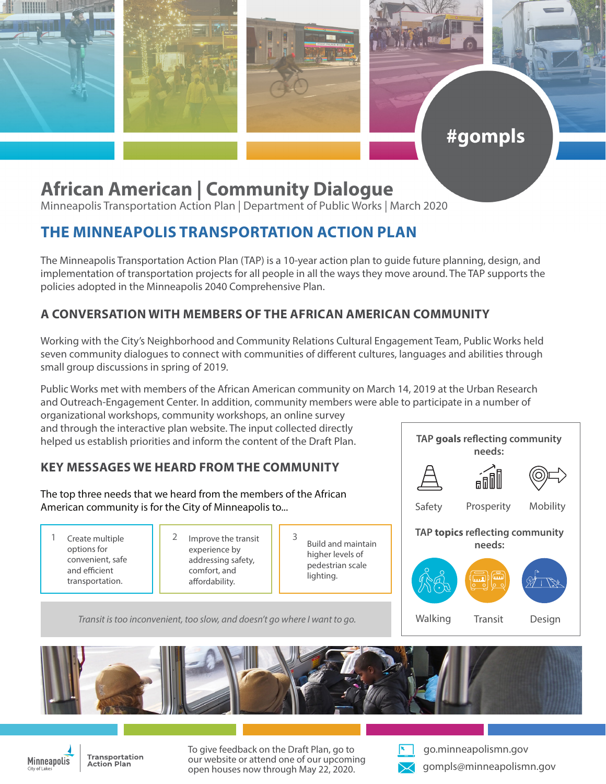

# **African American | Community Dialogue**

Minneapolis Transportation Action Plan | Department of Public Works | March 2020

# **THE MINNEAPOLIS TRANSPORTATION ACTION PLAN**

The Minneapolis Transportation Action Plan (TAP) is a 10-year action plan to guide future planning, design, and implementation of transportation projects for all people in all the ways they move around. The TAP supports the policies adopted in the Minneapolis 2040 Comprehensive Plan.

## **A CONVERSATION WITH MEMBERS OF THE AFRICAN AMERICAN COMMUNITY**

Working with the City's Neighborhood and Community Relations Cultural Engagement Team, Public Works held seven community dialogues to connect with communities of different cultures, languages and abilities through small group discussions in spring of 2019.

Public Works met with members of the African American community on March 14, 2019 at the Urban Research and Outreach-Engagement Center. In addition, community members were able to participate in a number of

organizational workshops, community workshops, an online survey and through the interactive plan website. The input collected directly helped us establish priorities and inform the content of the Draft Plan.

### **KEY MESSAGES WE HEARD FROM THE COMMUNITY**

The top three needs that we heard from the members of the African American community is for the City of Minneapolis to...

- Create multiple options for convenient, safe and efficient transportation.
- 1 Create multiple  $\begin{array}{|c|c|c|c|c|} \hline 1 & 2 & \text{Improve the transit} & 3 \\ \hline \end{array}$ experience by addressing safety, comfort, and affordability.
- Build and maintain higher levels of pedestrian scale lighting.

 *Transit is too inconvenient, too slow, and doesn't go where I want to go.*



#gompls





Transportation **Action Plan** 

To give feedback on the Draft Plan, go to our website or attend one of our upcoming open houses now through May 22, 2020.



go.minneapolismn.gov gompls@minneapolismn.gov